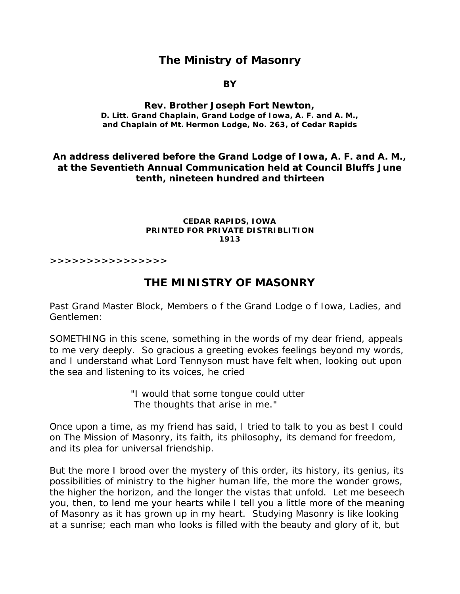# **The Ministry of Masonry**

**BY**

### **Rev. Brother Joseph Fort Newton, D. Litt. Grand Chaplain, Grand Lodge of Iowa, A. F. and A. M., and Chaplain of Mt. Hermon Lodge, No. 263, of Cedar Rapids**

### **An address delivered before the Grand Lodge of Iowa, A. F. and A. M., at the Seventieth Annual Communication held at Council Bluffs June tenth, nineteen hundred and thirteen**

#### **CEDAR RAPIDS, IOWA PRINTED FOR PRIVATE DISTRIBLITION 1913**

>>>>>>>>>>>>>>>>

## **THE MINISTRY OF MASONRY**

Past Grand Master Block, Members o f the Grand Lodge o f Iowa, Ladies, and Gentlemen:

SOMETHING in this scene, something in the words of my dear friend, appeals to me very deeply. So gracious a greeting evokes feelings beyond my words, and I understand what Lord Tennyson must have felt when, looking out upon the sea and listening to its voices, he cried

> "I would that some tongue could utter The thoughts that arise in me."

Once upon a time, as my friend has said, I tried to talk to you as best I could on The Mission of Masonry, its faith, its philosophy, its demand for freedom, and its plea for universal friendship.

But the more I brood over the mystery of this order, its history, its genius, its possibilities of ministry to the higher human life, the more the wonder grows, the higher the horizon, and the longer the vistas that unfold. Let me beseech you, then, to lend me your hearts while I tell you a little more of the meaning of Masonry as it has grown up in my heart. Studying Masonry is like looking at a sunrise; each man who looks is filled with the beauty and glory of it, but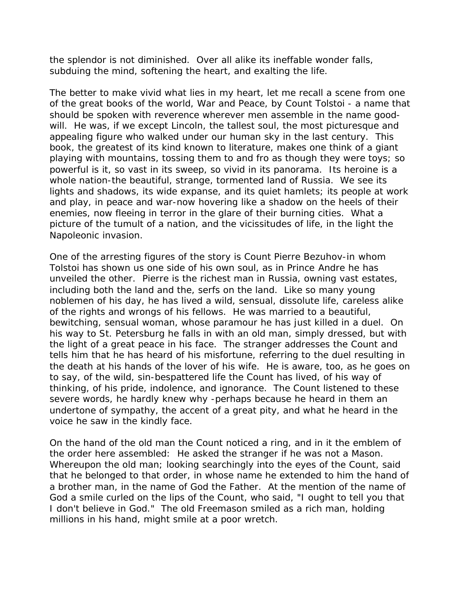the splendor is not diminished. Over all alike its ineffable wonder falls, subduing the mind, softening the heart, and exalting the life.

The better to make vivid what lies in my heart, let me recall a scene from one of the great books of the world, War and Peace, by Count Tolstoi - a name that should be spoken with reverence wherever men assemble in the name goodwill. He was, if we except Lincoln, the tallest soul, the most picturesque and appealing figure who walked under our human sky in the last century. This book, the greatest of its kind known to literature, makes one think of a giant playing with mountains, tossing them to and fro as though they were toys; so powerful is it, so vast in its sweep, so vivid in its panorama. Its heroine is a whole nation-the beautiful, strange, tormented land of Russia. We see its lights and shadows, its wide expanse, and its quiet hamlets; its people at work and play, in peace and war-now hovering like a shadow on the heels of their enemies, now fleeing in terror in the glare of their burning cities. What a picture of the tumult of a nation, and the vicissitudes of life, in the light the Napoleonic invasion.

One of the arresting figures of the story is Count Pierre Bezuhov-in whom Tolstoi has shown us one side of his own soul, as in Prince Andre he has unveiled the other. Pierre is the richest man in Russia, owning vast estates, including both the land and the, serfs on the land. Like so many young noblemen of his day, he has lived a wild, sensual, dissolute life, careless alike of the rights and wrongs of his fellows. He was married to a beautiful, bewitching, sensual woman, whose paramour he has just killed in a duel. On his way to St. Petersburg he falls in with an old man, simply dressed, but with the light of a great peace in his face. The stranger addresses the Count and tells him that he has heard of his misfortune, referring to the duel resulting in the death at his hands of the lover of his wife. He is aware, too, as he goes on to say, of the wild, sin-bespattered life the Count has lived, of his way of thinking, of his pride, indolence, and ignorance. The Count listened to these severe words, he hardly knew why -perhaps because he heard in them an undertone of sympathy, the accent of a great pity, and what he heard in the voice he saw in the kindly face.

On the hand of the old man the Count noticed a ring, and in it the emblem of the order here assembled: He asked the stranger if he was not a Mason. Whereupon the old man; looking searchingly into the eyes of the Count, said that he belonged to that order, in whose name he extended to him the hand of a brother man, in the name of God the Father. At the mention of the name of God a smile curled on the lips of the Count, who said, "I ought to tell you that I don't believe in God." The old Freemason smiled as a rich man, holding millions in his hand, might smile at a poor wretch.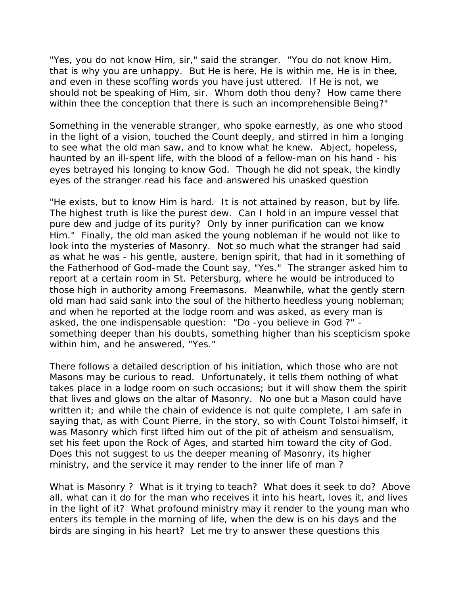"Yes, you do not know Him, sir," said the stranger. "You do not know Him, that is why you are unhappy. But He is here, He is within me, He is in thee, and even in these scoffing words you have just uttered. If He is not, we should not be speaking of Him, sir. Whom doth thou deny? How came there within thee the conception that there is such an incomprehensible Being?"

Something in the venerable stranger, who spoke earnestly, as one who stood in the light of a vision, touched the Count deeply, and stirred in him a longing to see what the old man saw, and to know what he knew. Abject, hopeless, haunted by an ill-spent life, with the blood of a fellow-man on his hand - his eyes betrayed his longing to know God. Though he did not speak, the kindly eyes of the stranger read his face and answered his unasked question

"He exists, but to know Him is hard. It is not attained by reason, but by life. The highest truth is like the purest dew. Can I hold in an impure vessel that pure dew and judge of its purity? Only by inner purification can we know Him." Finally, the old man asked the young nobleman if he would not like to look into the mysteries of Masonry. Not so much what the stranger had said as what he was - his gentle, austere, benign spirit, that had in it something of the Fatherhood of God-made the Count say, "Yes." The stranger asked him to report at a certain room in St. Petersburg, where he would be introduced to those high in authority among Freemasons. Meanwhile, what the gently stern old man had said sank into the soul of the hitherto heedless young nobleman; and when he reported at the lodge room and was asked, as every man is asked, the one indispensable question: "Do -you believe in God ?" something deeper than his doubts, something higher than his scepticism spoke within him, and he answered, "Yes."

There follows a detailed description of his initiation, which those who are not Masons may be curious to read. Unfortunately, it tells them nothing of what takes place in a lodge room on such occasions; but it will show them the spirit that lives and glows on the altar of Masonry. No one but a Mason could have written it; and while the chain of evidence is not quite complete, I am safe in saying that, as with Count Pierre, in the story, so with Count Tolstoi himself, it was Masonry which first lifted him out of the pit of atheism and sensualism, set his feet upon the Rock of Ages, and started him toward the city of God. Does this not suggest to us the deeper meaning of Masonry, its higher ministry, and the service it may render to the inner life of man ?

What is Masonry ? What is it trying to teach? What does it seek to do? Above all, what can it do for the man who receives it into his heart, loves it, and lives in the light of it? What profound ministry may it render to the young man who enters its temple in the morning of life, when the dew is on his days and the birds are singing in his heart? Let me try to answer these questions this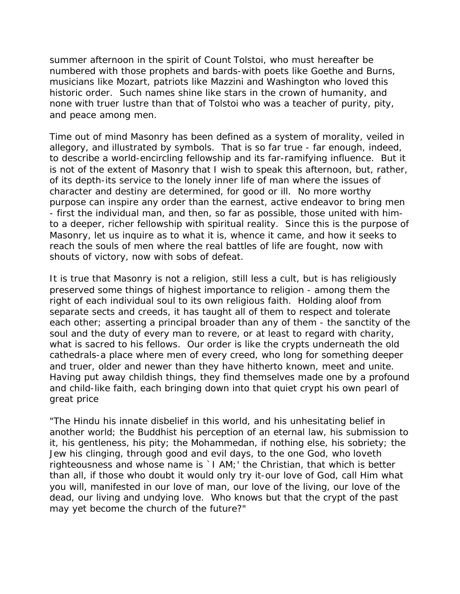summer afternoon in the spirit of Count Tolstoi, who must hereafter be numbered with those prophets and bards-with poets like Goethe and Burns, musicians like Mozart, patriots like Mazzini and Washington who loved this historic order. Such names shine like stars in the crown of humanity, and none with truer lustre than that of Tolstoi who was a teacher of purity, pity, and peace among men.

Time out of mind Masonry has been defined as a system of morality, veiled in allegory, and illustrated by symbols. That is so far true - far enough, indeed, to describe a world-encircling fellowship and its far-ramifying influence. But it is not of the extent of Masonry that I wish to speak this afternoon, but, rather, of its depth-its service to the lonely inner life of man where the issues of character and destiny are determined, for good or ill. No more worthy purpose can inspire any order than the earnest, active endeavor to bring men - first the individual man, and then, so far as possible, those united with himto a deeper, richer fellowship with spiritual reality. Since this is the purpose of Masonry, let us inquire as to what it is, whence it came, and how it seeks to reach the souls of men where the real battles of life are fought, now with shouts of victory, now with sobs of defeat.

It is true that Masonry is not a religion, still less a cult, but is has religiously preserved some things of highest importance to religion - among them the right of each individual soul to its own religious faith. Holding aloof from separate sects and creeds, it has taught all of them to respect and tolerate each other; asserting a principal broader than any of them - the sanctity of the soul and the duty of every man to revere, or at least to regard with charity, what is sacred to his fellows. Our order is like the crypts underneath the old cathedrals-a place where men of every creed, who long for something deeper and truer, older and newer than they have hitherto known, meet and unite. Having put away childish things, they find themselves made one by a profound and child-like faith, each bringing down into that quiet crypt his own pearl of great price

"The Hindu his innate disbelief in this world, and his unhesitating belief in another world; the Buddhist his perception of an eternal law, his submission to it, his gentleness, his pity; the Mohammedan, if nothing else, his sobriety; the Jew his clinging, through good and evil days, to the one God, who loveth righteousness and whose name is `I AM;' the Christian, that which is better than all, if those who doubt it would only try it-our love of God, call Him what you will, manifested in our love of man, our love of the living, our love of the dead, our living and undying love. Who knows but that the crypt of the past may yet become the church of the future?"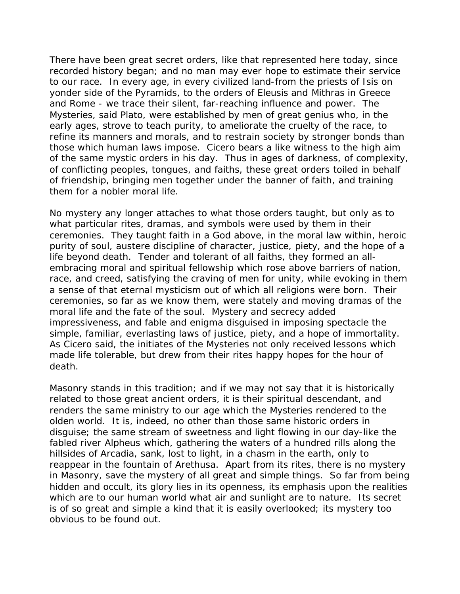There have been great secret orders, like that represented here today, since recorded history began; and no man may ever hope to estimate their service to our race. In every age, in every civilized land-from the priests of Isis on yonder side of the Pyramids, to the orders of Eleusis and Mithras in Greece and Rome - we trace their silent, far-reaching influence and power. The Mysteries, said Plato, were established by men of great genius who, in the early ages, strove to teach purity, to ameliorate the cruelty of the race, to refine its manners and morals, and to restrain society by stronger bonds than those which human laws impose. Cicero bears a like witness to the high aim of the same mystic orders in his day. Thus in ages of darkness, of complexity, of conflicting peoples, tongues, and faiths, these great orders toiled in behalf of friendship, bringing men together under the banner of faith, and training them for a nobler moral life.

No mystery any longer attaches to what those orders taught, but only as to what particular rites, dramas, and symbols were used by them in their ceremonies. They taught faith in a God above, in the moral law within, heroic purity of soul, austere discipline of character, justice, piety, and the hope of a life beyond death. Tender and tolerant of all faiths, they formed an allembracing moral and spiritual fellowship which rose above barriers of nation, race, and creed, satisfying the craving of men for unity, while evoking in them a sense of that eternal mysticism out of which all religions were born. Their ceremonies, so far as we know them, were stately and moving dramas of the moral life and the fate of the soul. Mystery and secrecy added impressiveness, and fable and enigma disguised in imposing spectacle the simple, familiar, everlasting laws of justice, piety, and a hope of immortality. As Cicero said, the initiates of the Mysteries not only received lessons which made life tolerable, but drew from their rites happy hopes for the hour of death.

Masonry stands in this tradition; and if we may not say that it is historically related to those great ancient orders, it is their spiritual descendant, and renders the same ministry to our age which the Mysteries rendered to the olden world. It is, indeed, no other than those same historic orders in disguise; the same stream of sweetness and light flowing in our day-like the fabled river Alpheus which, gathering the waters of a hundred rills along the hillsides of Arcadia, sank, lost to light, in a chasm in the earth, only to reappear in the fountain of Arethusa. Apart from its rites, there is no mystery in Masonry, save the mystery of all great and simple things. So far from being hidden and occult, its glory lies in its openness, its emphasis upon the realities which are to our human world what air and sunlight are to nature. Its secret is of so great and simple a kind that it is easily overlooked; its mystery too obvious to be found out.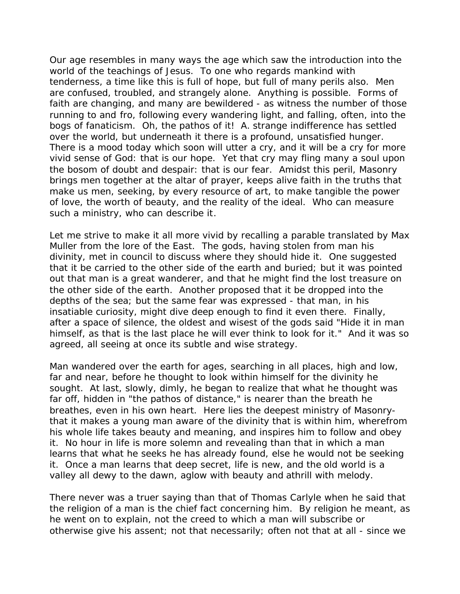Our age resembles in many ways the age which saw the introduction into the world of the teachings of Jesus. To one who regards mankind with tenderness, a time like this is full of hope, but full of many perils also. Men are confused, troubled, and strangely alone. Anything is possible. Forms of faith are changing, and many are bewildered - as witness the number of those running to and fro, following every wandering light, and falling, often, into the bogs of fanaticism. Oh, the pathos of it! A. strange indifference has settled over the world, but underneath it there is a profound, unsatisfied hunger. There is a mood today which soon will utter a cry, and it will be a cry for more vivid sense of God: that is our hope. Yet that cry may fling many a soul upon the bosom of doubt and despair: that is our fear. Amidst this peril, Masonry brings men together at the altar of prayer, keeps alive faith in the truths that make us men, seeking, by every resource of art, to make tangible the power of love, the worth of beauty, and the reality of the ideal. Who can measure such a ministry, who can describe it.

Let me strive to make it all more vivid by recalling a parable translated by Max Muller from the lore of the East. The gods, having stolen from man his divinity, met in council to discuss where they should hide it. One suggested that it be carried to the other side of the earth and buried; but it was pointed out that man is a great wanderer, and that he might find the lost treasure on the other side of the earth. Another proposed that it be dropped into the depths of the sea; but the same fear was expressed - that man, in his insatiable curiosity, might dive deep enough to find it even there. Finally, after a space of silence, the oldest and wisest of the gods said "Hide it in man himself, as that is the last place he will ever think to look for it." And it was so agreed, all seeing at once its subtle and wise strategy.

Man wandered over the earth for ages, searching in all places, high and low, far and near, before he thought to look within himself for the divinity he sought. At last, slowly, dimly, he began to realize that what he thought was far off, hidden in "the pathos of distance," is nearer than the breath he breathes, even in his own heart. Here lies the deepest ministry of Masonrythat it makes a young man aware of the divinity that is within him, wherefrom his whole life takes beauty and meaning, and inspires him to follow and obey it. No hour in life is more solemn and revealing than that in which a man learns that what he seeks he has already found, else he would not be seeking it. Once a man learns that deep secret, life is new, and the old world is a valley all dewy to the dawn, aglow with beauty and athrill with melody.

There never was a truer saying than that of Thomas Carlyle when he said that the religion of a man is the chief fact concerning him. By religion he meant, as he went on to explain, not the creed to which a man will subscribe or otherwise give his assent; not that necessarily; often not that at all - since we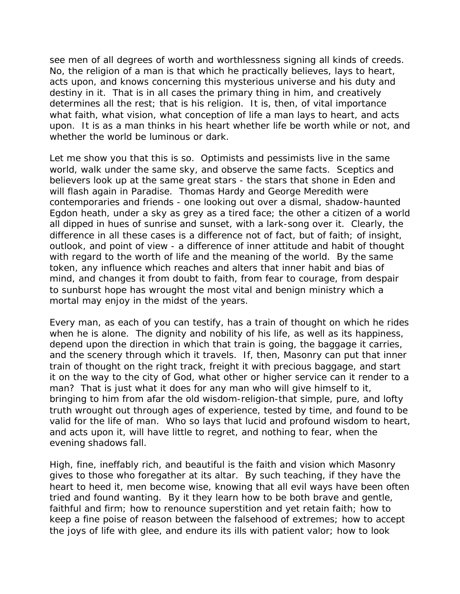see men of all degrees of worth and worthlessness signing all kinds of creeds. No, the religion of a man is that which he practically believes, lays to heart, acts upon, and knows concerning this mysterious universe and his duty and destiny in it. That is in all cases the primary thing in him, and creatively determines all the rest; that is his religion. It is, then, of vital importance what faith, what vision, what conception of life a man lays to heart, and acts upon. It is as a man thinks in his heart whether life be worth while or not, and whether the world be luminous or dark.

Let me show you that this is so. Optimists and pessimists live in the same world, walk under the same sky, and observe the same facts. Sceptics and believers look up at the same great stars - the stars that shone in Eden and will flash again in Paradise. Thomas Hardy and George Meredith were contemporaries and friends - one looking out over a dismal, shadow-haunted Egdon heath, under a sky as grey as a tired face; the other a citizen of a world all dipped in hues of sunrise and sunset, with a lark-song over it. Clearly, the difference in all these cases is a difference not of fact, but of faith; of insight, outlook, and point of view - a difference of inner attitude and habit of thought with regard to the worth of life and the meaning of the world. By the same token, any influence which reaches and alters that inner habit and bias of mind, and changes it from doubt to faith, from fear to courage, from despair to sunburst hope has wrought the most vital and benign ministry which a mortal may enjoy in the midst of the years.

Every man, as each of you can testify, has a train of thought on which he rides when he is alone. The dignity and nobility of his life, as well as its happiness, depend upon the direction in which that train is going, the baggage it carries, and the scenery through which it travels. If, then, Masonry can put that inner train of thought on the right track, freight it with precious baggage, and start it on the way to the city of God, what other or higher service can it render to a man? That is just what it does for any man who will give himself to it, bringing to him from afar the old wisdom-religion-that simple, pure, and lofty truth wrought out through ages of experience, tested by time, and found to be valid for the life of man. Who so lays that lucid and profound wisdom to heart, and acts upon it, will have little to regret, and nothing to fear, when the evening shadows fall.

High, fine, ineffably rich, and beautiful is the faith and vision which Masonry gives to those who foregather at its altar. By such teaching, if they have the heart to heed it, men become wise, knowing that all evil ways have been often tried and found wanting. By it they learn how to be both brave and gentle, faithful and firm; how to renounce superstition and yet retain faith; how to keep a fine poise of reason between the falsehood of extremes; how to accept the joys of life with glee, and endure its ills with patient valor; how to look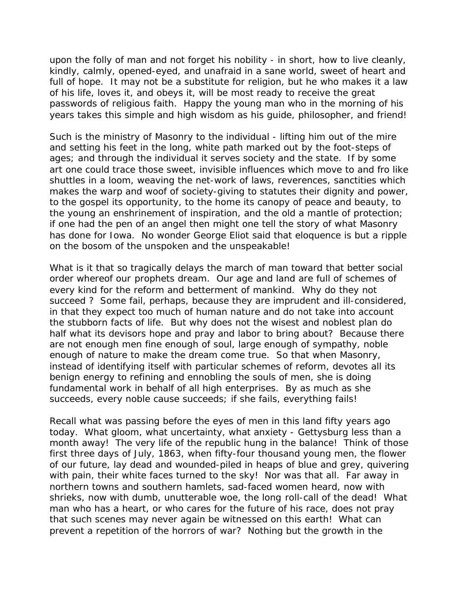upon the folly of man and not forget his nobility - in short, how to live cleanly, kindly, calmly, opened-eyed, and unafraid in a sane world, sweet of heart and full of hope. It may not be a substitute for religion, but he who makes it a law of his life, loves it, and obeys it, will be most ready to receive the great passwords of religious faith. Happy the young man who in the morning of his years takes this simple and high wisdom as his guide, philosopher, and friend!

Such is the ministry of Masonry to the individual - lifting him out of the mire and setting his feet in the long, white path marked out by the foot-steps of ages; and through the individual it serves society and the state. If by some art one could trace those sweet, invisible influences which move to and fro like shuttles in a loom, weaving the net-work of laws, reverences, sanctities which makes the warp and woof of society-giving to statutes their dignity and power, to the gospel its opportunity, to the home its canopy of peace and beauty, to the young an enshrinement of inspiration, and the old a mantle of protection; if one had the pen of an angel then might one tell the story of what Masonry has done for Iowa. No wonder George Eliot said that eloquence is but a ripple on the bosom of the unspoken and the unspeakable!

What is it that so tragically delays the march of man toward that better social order whereof our prophets dream. Our age and land are full of schemes of every kind for the reform and betterment of mankind. Why do they not succeed ? Some fail, perhaps, because they are imprudent and ill-considered, in that they expect too much of human nature and do not take into account the stubborn facts of life. But why does not the wisest and noblest plan do half what its devisors hope and pray and labor to bring about? Because there are not enough men fine enough of soul, large enough of sympathy, noble enough of nature to make the dream come true. So that when Masonry, instead of identifying itself with particular schemes of reform, devotes all its benign energy to refining and ennobling the souls of men, she is doing fundamental work in behalf of all high enterprises. By as much as she succeeds, every noble cause succeeds; if she fails, everything fails!

Recall what was passing before the eyes of men in this land fifty years ago today. What gloom, what uncertainty, what anxiety - Gettysburg less than a month away! The very life of the republic hung in the balance! Think of those first three days of July, 1863, when fifty-four thousand young men, the flower of our future, lay dead and wounded-piled in heaps of blue and grey, quivering with pain, their white faces turned to the sky! Nor was that all. Far away in northern towns and southern hamlets, sad-faced women heard, now with shrieks, now with dumb, unutterable woe, the long roll-call of the dead! What man who has a heart, or who cares for the future of his race, does not pray that such scenes may never again be witnessed on this earth! What can prevent a repetition of the horrors of war? Nothing but the growth in the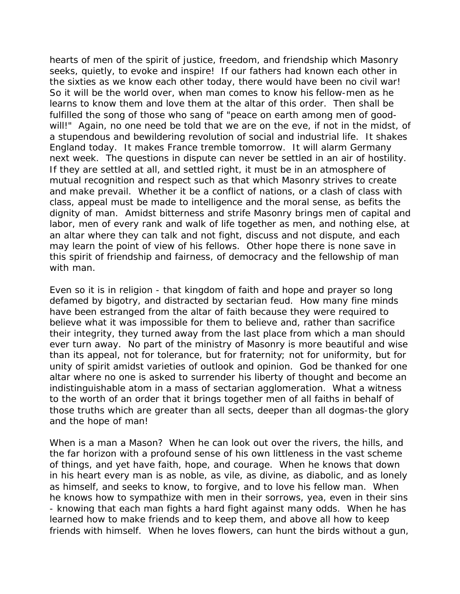hearts of men of the spirit of justice, freedom, and friendship which Masonry seeks, quietly, to evoke and inspire! If our fathers had known each other in the sixties as we know each other today, there would have been no civil war! So it will be the world over, when man comes to know his fellow-men as he learns to know them and love them at the altar of this order. Then shall be fulfilled the song of those who sang of "peace on earth among men of goodwill!" Again, no one need be told that we are on the eve, if not in the midst, of a stupendous and bewildering revolution of social and industrial life. It shakes England today. It makes France tremble tomorrow. It will alarm Germany next week. The questions in dispute can never be settled in an air of hostility. If they are settled at all, and settled right, it must be in an atmosphere of mutual recognition and respect such as that which Masonry strives to create and make prevail. Whether it be a conflict of nations, or a clash of class with class, appeal must be made to intelligence and the moral sense, as befits the dignity of man. Amidst bitterness and strife Masonry brings men of capital and labor, men of every rank and walk of life together as men, and nothing else, at an altar where they can talk and not fight, discuss and not dispute, and each may learn the point of view of his fellows. Other hope there is none save in this spirit of friendship and fairness, of democracy and the fellowship of man with man.

Even so it is in religion - that kingdom of faith and hope and prayer so long defamed by bigotry, and distracted by sectarian feud. How many fine minds have been estranged from the altar of faith because they were required to believe what it was impossible for them to believe and, rather than sacrifice their integrity, they turned away from the last place from which a man should ever turn away. No part of the ministry of Masonry is more beautiful and wise than its appeal, not for tolerance, but for fraternity; not for uniformity, but for unity of spirit amidst varieties of outlook and opinion. God be thanked for one altar where no one is asked to surrender his liberty of thought and become an indistinguishable atom in a mass of sectarian agglomeration. What a witness to the worth of an order that it brings together men of all faiths in behalf of those truths which are greater than all sects, deeper than all dogmas-the glory and the hope of man!

When is a man a Mason? When he can look out over the rivers, the hills, and the far horizon with a profound sense of his own littleness in the vast scheme of things, and yet have faith, hope, and courage. When he knows that down in his heart every man is as noble, as vile, as divine, as diabolic, and as lonely as himself, and seeks to know, to forgive, and to love his fellow man. When he knows how to sympathize with men in their sorrows, yea, even in their sins - knowing that each man fights a hard fight against many odds. When he has learned how to make friends and to keep them, and above all how to keep friends with himself. When he loves flowers, can hunt the birds without a gun,